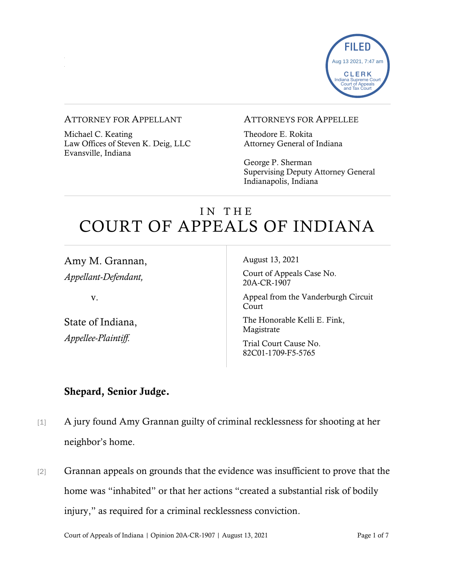

#### ATTORNEY FOR APPELLANT

Michael C. Keating Law Offices of Steven K. Deig, LLC Evansville, Indiana

### ATTORNEYS FOR APPELLEE

Theodore E. Rokita Attorney General of Indiana

George P. Sherman Supervising Deputy Attorney General Indianapolis, Indiana

# I N T H E COURT OF APPEALS OF INDIANA

Amy M. Grannan, *Appellant-Defendant,*

v.

State of Indiana, *Appellee-Plaintiff.*

August 13, 2021

Court of Appeals Case No. 20A-CR-1907

Appeal from the Vanderburgh Circuit Court

The Honorable Kelli E. Fink, Magistrate

Trial Court Cause No. 82C01-1709-F5-5765

### Shepard, Senior Judge.

- [1] A jury found Amy Grannan guilty of criminal recklessness for shooting at her neighbor's home.
- [2] Grannan appeals on grounds that the evidence was insufficient to prove that the home was "inhabited" or that her actions "created a substantial risk of bodily injury," as required for a criminal recklessness conviction.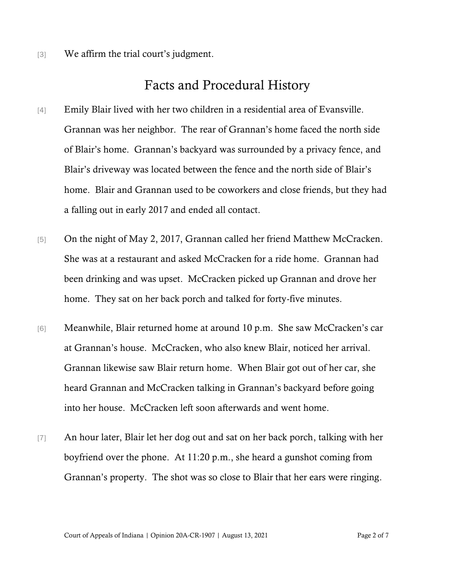[3] We affirm the trial court's judgment.

## Facts and Procedural History

- [4] Emily Blair lived with her two children in a residential area of Evansville. Grannan was her neighbor. The rear of Grannan's home faced the north side of Blair's home. Grannan's backyard was surrounded by a privacy fence, and Blair's driveway was located between the fence and the north side of Blair's home. Blair and Grannan used to be coworkers and close friends, but they had a falling out in early 2017 and ended all contact.
- [5] On the night of May 2, 2017, Grannan called her friend Matthew McCracken. She was at a restaurant and asked McCracken for a ride home. Grannan had been drinking and was upset. McCracken picked up Grannan and drove her home. They sat on her back porch and talked for forty-five minutes.
- [6] Meanwhile, Blair returned home at around 10 p.m. She saw McCracken's car at Grannan's house. McCracken, who also knew Blair, noticed her arrival. Grannan likewise saw Blair return home. When Blair got out of her car, she heard Grannan and McCracken talking in Grannan's backyard before going into her house. McCracken left soon afterwards and went home.
- [7] An hour later, Blair let her dog out and sat on her back porch, talking with her boyfriend over the phone. At 11:20 p.m., she heard a gunshot coming from Grannan's property. The shot was so close to Blair that her ears were ringing.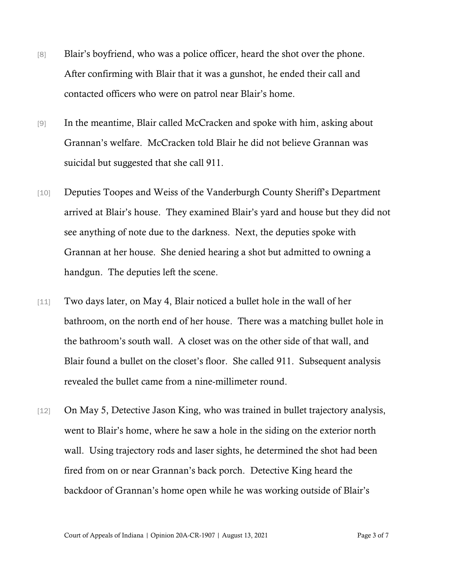- [8] Blair's boyfriend, who was a police officer, heard the shot over the phone. After confirming with Blair that it was a gunshot, he ended their call and contacted officers who were on patrol near Blair's home.
- [9] In the meantime, Blair called McCracken and spoke with him, asking about Grannan's welfare. McCracken told Blair he did not believe Grannan was suicidal but suggested that she call 911.
- [10] Deputies Toopes and Weiss of the Vanderburgh County Sheriff's Department arrived at Blair's house. They examined Blair's yard and house but they did not see anything of note due to the darkness. Next, the deputies spoke with Grannan at her house. She denied hearing a shot but admitted to owning a handgun. The deputies left the scene.
- [11] Two days later, on May 4, Blair noticed a bullet hole in the wall of her bathroom, on the north end of her house. There was a matching bullet hole in the bathroom's south wall. A closet was on the other side of that wall, and Blair found a bullet on the closet's floor. She called 911. Subsequent analysis revealed the bullet came from a nine-millimeter round.
- [12] On May 5, Detective Jason King, who was trained in bullet trajectory analysis, went to Blair's home, where he saw a hole in the siding on the exterior north wall. Using trajectory rods and laser sights, he determined the shot had been fired from on or near Grannan's back porch. Detective King heard the backdoor of Grannan's home open while he was working outside of Blair's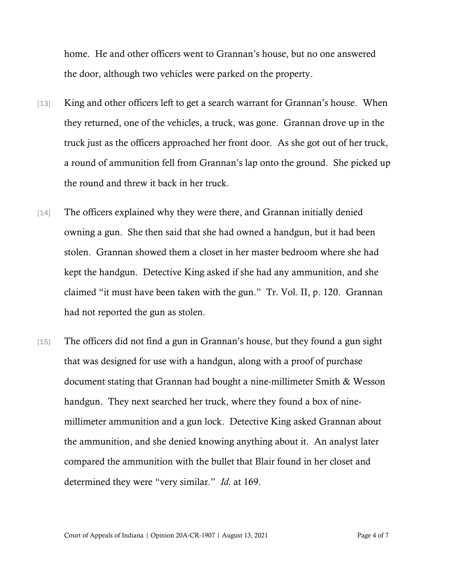home. He and other officers went to Grannan's house, but no one answered the door, although two vehicles were parked on the property.

- [13] King and other officers left to get a search warrant for Grannan's house. When they returned, one of the vehicles, a truck, was gone. Grannan drove up in the truck just as the officers approached her front door. As she got out of her truck, a round of ammunition fell from Grannan's lap onto the ground. She picked up the round and threw it back in her truck.
- [14] The officers explained why they were there, and Grannan initially denied owning a gun. She then said that she had owned a handgun, but it had been stolen. Grannan showed them a closet in her master bedroom where she had kept the handgun. Detective King asked if she had any ammunition, and she claimed "it must have been taken with the gun." Tr. Vol. II, p. 120. Grannan had not reported the gun as stolen.
- [15] The officers did not find a gun in Grannan's house, but they found a gun sight that was designed for use with a handgun, along with a proof of purchase document stating that Grannan had bought a nine-millimeter Smith & Wesson handgun. They next searched her truck, where they found a box of ninemillimeter ammunition and a gun lock. Detective King asked Grannan about the ammunition, and she denied knowing anything about it. An analyst later compared the ammunition with the bullet that Blair found in her closet and determined they were "very similar." *Id.* at 169.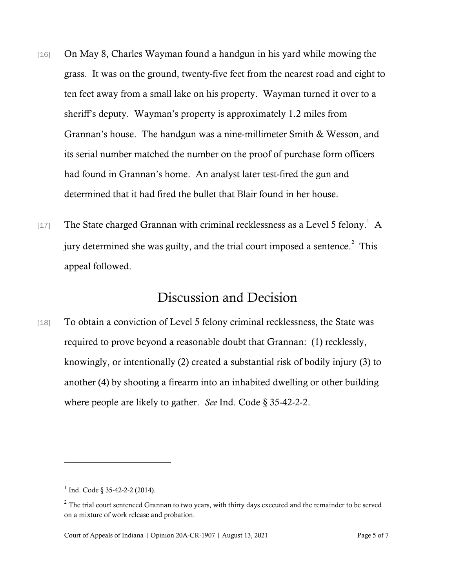- [16] On May 8, Charles Wayman found a handgun in his yard while mowing the grass. It was on the ground, twenty-five feet from the nearest road and eight to ten feet away from a small lake on his property. Wayman turned it over to a sheriff's deputy. Wayman's property is approximately 1.2 miles from Grannan's house. The handgun was a nine-millimeter Smith & Wesson, and its serial number matched the number on the proof of purchase form officers had found in Grannan's home. An analyst later test-fired the gun and determined that it had fired the bullet that Blair found in her house.
- [17] The State charged Grannan with criminal recklessness as a Level 5 felony.<sup>1</sup> A jury determined she was guilty, and the trial court imposed a sentence.<sup>2</sup> This appeal followed.

## Discussion and Decision

[18] To obtain a conviction of Level 5 felony criminal recklessness, the State was required to prove beyond a reasonable doubt that Grannan: (1) recklessly, knowingly, or intentionally (2) created a substantial risk of bodily injury (3) to another (4) by shooting a firearm into an inhabited dwelling or other building where people are likely to gather. *See* Ind. Code § 35-42-2-2.

 $1$  Ind. Code § 35-42-2-2 (2014).

<sup>&</sup>lt;sup>2</sup> The trial court sentenced Grannan to two years, with thirty days executed and the remainder to be served on a mixture of work release and probation.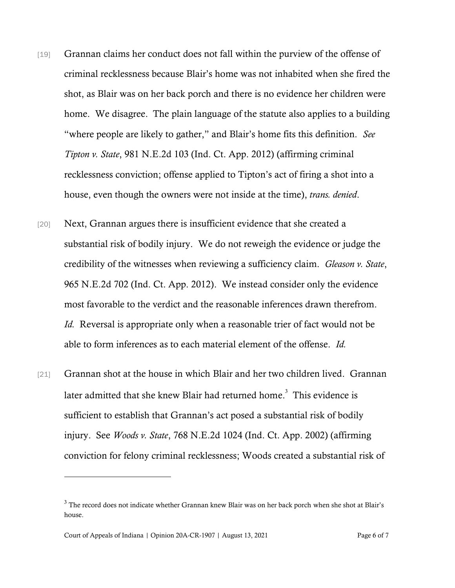- [19] Grannan claims her conduct does not fall within the purview of the offense of criminal recklessness because Blair's home was not inhabited when she fired the shot, as Blair was on her back porch and there is no evidence her children were home. We disagree. The plain language of the statute also applies to a building "where people are likely to gather," and Blair's home fits this definition. *See Tipton v. State*, 981 N.E.2d 103 (Ind. Ct. App. 2012) (affirming criminal recklessness conviction; offense applied to Tipton's act of firing a shot into a house, even though the owners were not inside at the time), *trans. denied*.
- [20] Next, Grannan argues there is insufficient evidence that she created a substantial risk of bodily injury. We do not reweigh the evidence or judge the credibility of the witnesses when reviewing a sufficiency claim. *Gleason v. State*, 965 N.E.2d 702 (Ind. Ct. App. 2012). We instead consider only the evidence most favorable to the verdict and the reasonable inferences drawn therefrom. *Id.* Reversal is appropriate only when a reasonable trier of fact would not be able to form inferences as to each material element of the offense. *Id.*
- [21] Grannan shot at the house in which Blair and her two children lived. Grannan later admitted that she knew Blair had returned home.<sup>3</sup> This evidence is sufficient to establish that Grannan's act posed a substantial risk of bodily injury. See *Woods v. State*, 768 N.E.2d 1024 (Ind. Ct. App. 2002) (affirming conviction for felony criminal recklessness; Woods created a substantial risk of

<sup>3</sup> The record does not indicate whether Grannan knew Blair was on her back porch when she shot at Blair's house.